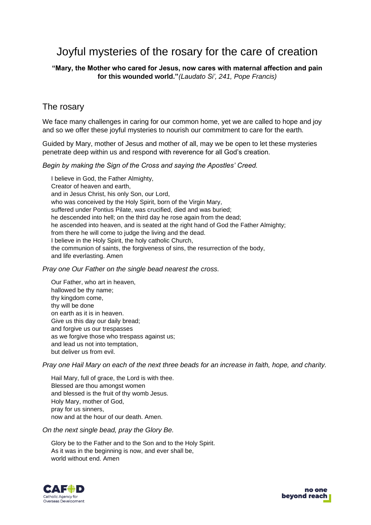# Joyful mysteries of the rosary for the care of creation

#### **"Mary, the Mother who cared for Jesus, now cares with maternal affection and pain for this wounded world."***(Laudato Si', 241, Pope Francis)*

# The rosary

We face many challenges in caring for our common home, yet we are called to hope and joy and so we offer these joyful mysteries to nourish our commitment to care for the earth.

Guided by Mary, mother of Jesus and mother of all, may we be open to let these mysteries penetrate deep within us and respond with reverence for all God's creation.

*Begin by making the Sign of the Cross and saying the Apostles' Creed.* 

I believe in God, the Father Almighty, Creator of heaven and earth, and in Jesus Christ, his only Son, our Lord, who was conceived by the Holy Spirit, born of the Virgin Mary, suffered under Pontius Pilate, was crucified, died and was buried; he descended into hell; on the third day he rose again from the dead; he ascended into heaven, and is seated at the right hand of God the Father Almighty; from there he will come to judge the living and the dead. I believe in the Holy Spirit, the holy catholic Church, the communion of saints, the forgiveness of sins, the resurrection of the body, and life everlasting. Amen

*Pray one Our Father on the single bead nearest the cross.*

Our Father, who art in heaven, hallowed be thy name; thy kingdom come, thy will be done on earth as it is in heaven. Give us this day our daily bread; and forgive us our trespasses as we forgive those who trespass against us; and lead us not into temptation, but deliver us from evil.

*Pray one Hail Mary on each of the next three beads for an increase in faith, hope, and charity.*

Hail Mary, full of grace, the Lord is with thee. Blessed are thou amongst women and blessed is the fruit of thy womb Jesus. Holy Mary, mother of God, pray for us sinners, now and at the hour of our death. Amen.

*On the next single bead, pray the Glory Be.*

Glory be to the Father and to the Son and to the Holy Spirit. As it was in the beginning is now, and ever shall be, world without end. Amen



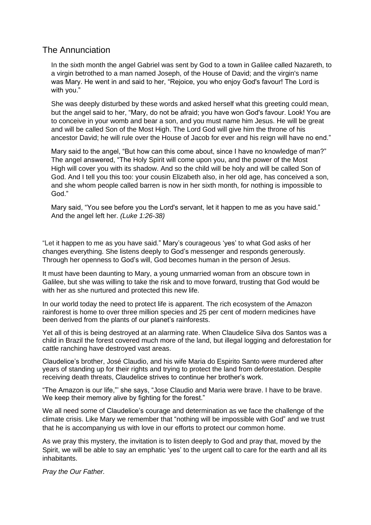## The Annunciation

In the sixth month the angel Gabriel was sent by God to a town in Galilee called Nazareth, to a virgin betrothed to a man named Joseph, of the House of David; and the virgin's name was Mary. He went in and said to her, "Rejoice, you who enjoy God's favour! The Lord is with you."

She was deeply disturbed by these words and asked herself what this greeting could mean, but the angel said to her, "Mary, do not be afraid; you have won God's favour. Look! You are to conceive in your womb and bear a son, and you must name him Jesus. He will be great and will be called Son of the Most High. The Lord God will give him the throne of his ancestor David; he will rule over the House of Jacob for ever and his reign will have no end."

Mary said to the angel, "But how can this come about, since I have no knowledge of man?" The angel answered, "The Holy Spirit will come upon you, and the power of the Most High will cover you with its shadow. And so the child will be holy and will be called Son of God. And I tell you this too: your cousin Elizabeth also, in her old age, has conceived a son, and she whom people called barren is now in her sixth month, for nothing is impossible to God."

Mary said, "You see before you the Lord's servant, let it happen to me as you have said." And the angel left her. *(Luke 1:26-38)*

"Let it happen to me as you have said." Mary's courageous 'yes' to what God asks of her changes everything. She listens deeply to God's messenger and responds generously. Through her openness to God's will, God becomes human in the person of Jesus.

It must have been daunting to Mary, a young unmarried woman from an obscure town in Galilee, but she was willing to take the risk and to move forward, trusting that God would be with her as she nurtured and protected this new life.

In our world today the need to protect life is apparent. The rich ecosystem of the Amazon rainforest is home to over three million species and 25 per cent of modern medicines have been derived from the plants of our planet's rainforests.

Yet all of this is being destroyed at an alarming rate. When Claudelice Silva dos Santos was a child in Brazil the forest covered much more of the land, but illegal logging and deforestation for cattle ranching have destroyed vast areas.

Claudelice's brother, José Claudio, and his wife Maria do Espirito Santo were murdered after years of standing up for their rights and trying to protect the land from deforestation. Despite receiving death threats, Claudelice strives to continue her brother's work.

"The Amazon is our life,"' she says, "Jose Claudio and Maria were brave. I have to be brave. We keep their memory alive by fighting for the forest."

We all need some of Claudelice's courage and determination as we face the challenge of the climate crisis. Like Mary we remember that "nothing will be impossible with God" and we trust that he is accompanying us with love in our efforts to protect our common home.

As we pray this mystery, the invitation is to listen deeply to God and pray that, moved by the Spirit, we will be able to say an emphatic 'yes' to the urgent call to care for the earth and all its inhabitants.

*Pray the Our Father.*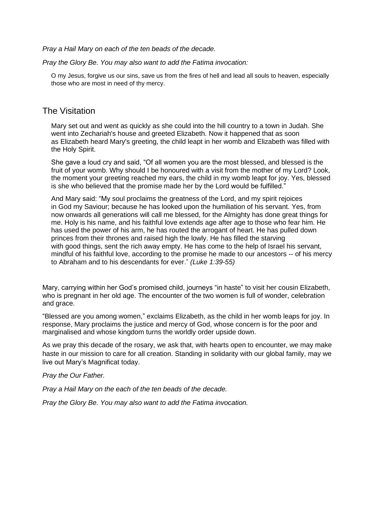*Pray a Hail Mary on each of the ten beads of the decade.*

*Pray the Glory Be. You may also want to add the Fatima invocation:* 

O my Jesus, forgive us our sins, save us from the fires of hell and lead all souls to heaven, especially those who are most in need of thy mercy.

## The Visitation

Mary set out and went as quickly as she could into the hill country to a town in Judah. She went into Zechariah's house and greeted Elizabeth. Now it happened that as soon as Elizabeth heard Mary's greeting, the child leapt in her womb and Elizabeth was filled with the Holy Spirit.

She gave a loud cry and said, "Of all women you are the most blessed, and blessed is the fruit of your womb. Why should I be honoured with a visit from the mother of my Lord? Look, the moment your greeting reached my ears, the child in my womb leapt for joy. Yes, blessed is she who believed that the promise made her by the Lord would be fulfilled."

And Mary said: "My soul proclaims the greatness of the Lord, and my spirit rejoices in God my Saviour; because he has looked upon the humiliation of his servant. Yes, from now onwards all generations will call me blessed, for the Almighty has done great things for me. Holy is his name, and his faithful love extends age after age to those who fear him. He has used the power of his arm, he has routed the arrogant of heart. He has pulled down princes from their thrones and raised high the lowly. He has filled the starving with good things, sent the rich away empty. He has come to the help of Israel his servant, mindful of his faithful love, according to the promise he made to our ancestors -- of his mercy to Abraham and to his descendants for ever." *(Luke 1:39-55)*

Mary, carrying within her God's promised child, journeys "in haste" to visit her cousin Elizabeth, who is pregnant in her old age. The encounter of the two women is full of wonder, celebration and grace.

"Blessed are you among women," exclaims Elizabeth, as the child in her womb leaps for joy. In response, Mary proclaims the justice and mercy of God, whose concern is for the poor and marginalised and whose kingdom turns the worldly order upside down.

As we pray this decade of the rosary, we ask that, with hearts open to encounter, we may make haste in our mission to care for all creation. Standing in solidarity with our global family, may we live out Mary's Magnificat today.

*Pray the Our Father.* 

*Pray a Hail Mary on the each of the ten beads of the decade.*

*Pray the Glory Be. You may also want to add the Fatima invocation.*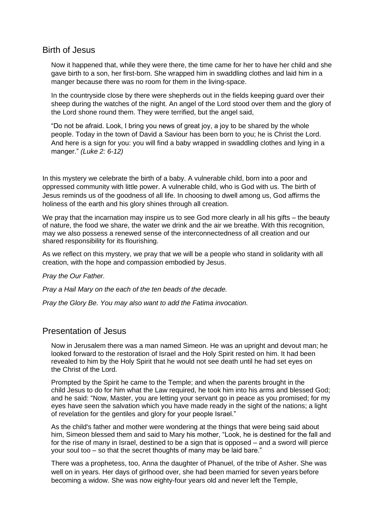### Birth of Jesus

Now it happened that, while they were there, the time came for her to have her child and she gave birth to a son, her first-born. She wrapped him in swaddling clothes and laid him in a manger because there was no room for them in the living-space.

In the countryside close by there were shepherds out in the fields keeping guard over their sheep during the watches of the night. An angel of the Lord stood over them and the glory of the Lord shone round them. They were terrified, but the angel said,

"Do not be afraid. Look, I bring you news of great joy, a joy to be shared by the whole people. Today in the town of David a Saviour has been born to you; he is Christ the Lord. And here is a sign for you: you will find a baby wrapped in swaddling clothes and lying in a manger." *(Luke 2: 6-12)*

In this mystery we celebrate the birth of a baby. A vulnerable child, born into a poor and oppressed community with little power. A vulnerable child, who is God with us. The birth of Jesus reminds us of the goodness of all life. In choosing to dwell among us, God affirms the holiness of the earth and his glory shines through all creation.

We pray that the incarnation may inspire us to see God more clearly in all his gifts – the beauty of nature, the food we share, the water we drink and the air we breathe. With this recognition, may we also possess a renewed sense of the interconnectedness of all creation and our shared responsibility for its flourishing.

As we reflect on this mystery, we pray that we will be a people who stand in solidarity with all creation, with the hope and compassion embodied by Jesus.

*Pray the Our Father.* 

*Pray a Hail Mary on the each of the ten beads of the decade.*

*Pray the Glory Be. You may also want to add the Fatima invocation.*

# Presentation of Jesus

Now in Jerusalem there was a man named Simeon. He was an upright and devout man; he looked forward to the restoration of Israel and the Holy Spirit rested on him. It had been revealed to him by the Holy Spirit that he would not see death until he had set eyes on the Christ of the Lord.

Prompted by the Spirit he came to the Temple; and when the parents brought in the child Jesus to do for him what the Law required, he took him into his arms and blessed God; and he said: "Now, Master, you are letting your servant go in peace as you promised; for my eyes have seen the salvation which you have made ready in the sight of the nations; a light of revelation for the gentiles and glory for your people Israel."

As the child's father and mother were wondering at the things that were being said about him, Simeon blessed them and said to Mary his mother, "Look, he is destined for the fall and for the rise of many in Israel, destined to be a sign that is opposed – and a sword will pierce your soul too – so that the secret thoughts of many may be laid bare."

There was a prophetess, too, Anna the daughter of Phanuel, of the tribe of Asher. She was well on in years. Her days of girlhood over, she had been married for seven years before becoming a widow. She was now eighty-four years old and never left the Temple,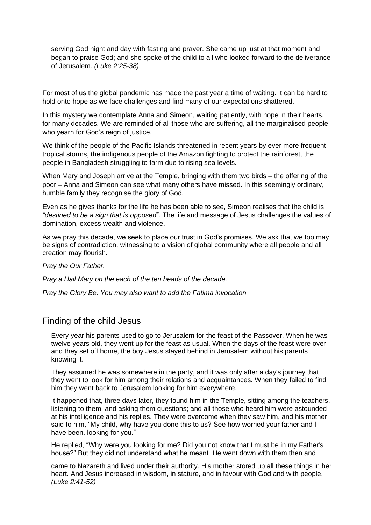serving God night and day with fasting and prayer. She came up just at that moment and began to praise God; and she spoke of the child to all who looked forward to the deliverance of Jerusalem. *(Luke 2:25-38)*

For most of us the global pandemic has made the past year a time of waiting. It can be hard to hold onto hope as we face challenges and find many of our expectations shattered.

In this mystery we contemplate Anna and Simeon, waiting patiently, with hope in their hearts, for many decades. We are reminded of all those who are suffering, all the marginalised people who yearn for God's reign of justice.

We think of the people of the Pacific Islands threatened in recent years by ever more frequent tropical storms, the indigenous people of the Amazon fighting to protect the rainforest, the people in Bangladesh struggling to farm due to rising sea levels.

When Mary and Joseph arrive at the Temple, bringing with them two birds – the offering of the poor – Anna and Simeon can see what many others have missed. In this seemingly ordinary, humble family they recognise the glory of God.

Even as he gives thanks for the life he has been able to see, Simeon realises that the child is *"destined to be a sign that is opposed".* The life and message of Jesus challenges the values of domination, excess wealth and violence.

As we pray this decade, we seek to place our trust in God's promises. We ask that we too may be signs of contradiction, witnessing to a vision of global community where all people and all creation may flourish.

*Pray the Our Father.* 

*Pray a Hail Mary on the each of the ten beads of the decade.*

*Pray the Glory Be. You may also want to add the Fatima invocation.*

# Finding of the child Jesus

Every year his parents used to go to Jerusalem for the feast of the Passover. When he was twelve years old, they went up for the feast as usual. When the days of the feast were over and they set off home, the boy Jesus stayed behind in Jerusalem without his parents knowing it.

They assumed he was somewhere in the party, and it was only after a day's journey that they went to look for him among their relations and acquaintances. When they failed to find him they went back to Jerusalem looking for him everywhere.

It happened that, three days later, they found him in the Temple, sitting among the teachers, listening to them, and asking them questions; and all those who heard him were astounded at his intelligence and his replies. They were overcome when they saw him, and his mother said to him, "My child, why have you done this to us? See how worried your father and I have been, looking for you."

He replied, "Why were you looking for me? Did you not know that I must be in my Father's house?" But they did not understand what he meant. He went down with them then and

came to Nazareth and lived under their authority. His mother stored up all these things in her heart. And Jesus increased in wisdom, in stature, and in favour with God and with people. *(Luke 2:41-52)*